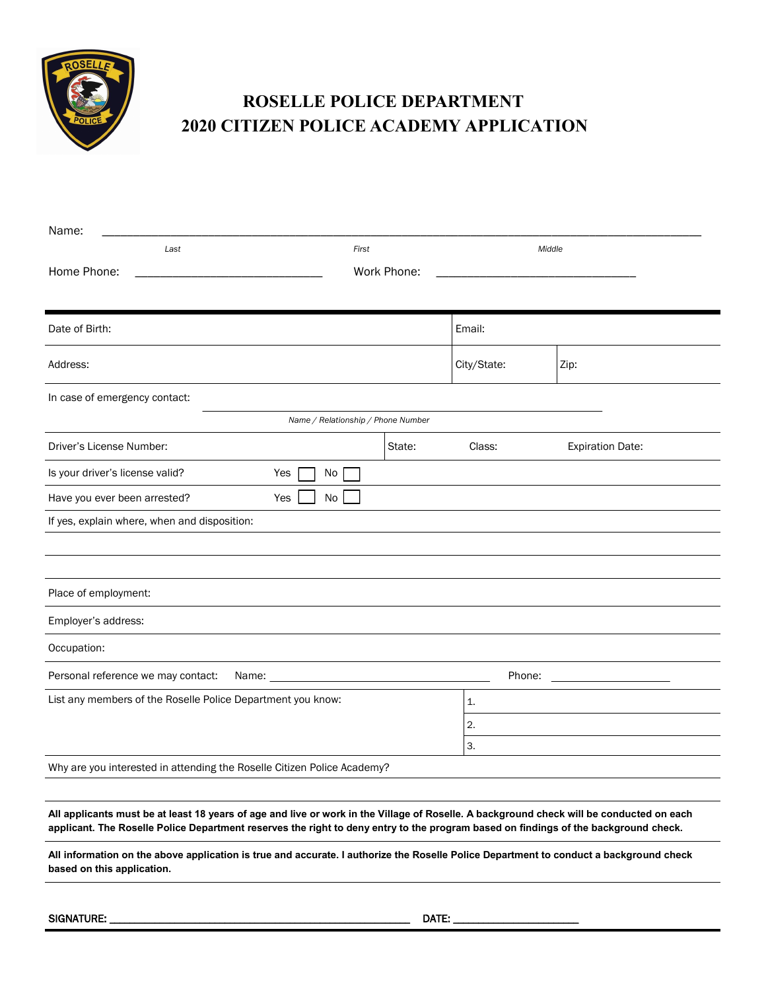

## **ROSELLE POLICE DEPARTMENT 2020 CITIZEN POLICE ACADEMY APPLICATION**

| Name:                                                                                                                                                                                                                                                                           |             |             |                         |  |
|---------------------------------------------------------------------------------------------------------------------------------------------------------------------------------------------------------------------------------------------------------------------------------|-------------|-------------|-------------------------|--|
| Last                                                                                                                                                                                                                                                                            | First       |             | Middle                  |  |
| Home Phone:                                                                                                                                                                                                                                                                     | Work Phone: |             |                         |  |
|                                                                                                                                                                                                                                                                                 |             |             |                         |  |
| Date of Birth:                                                                                                                                                                                                                                                                  |             | Email:      |                         |  |
| Address:                                                                                                                                                                                                                                                                        |             | City/State: | Zip:                    |  |
| In case of emergency contact:                                                                                                                                                                                                                                                   |             |             |                         |  |
| Name / Relationship / Phone Number                                                                                                                                                                                                                                              |             |             |                         |  |
| Driver's License Number:                                                                                                                                                                                                                                                        | State:      | Class:      | <b>Expiration Date:</b> |  |
| Is your driver's license valid?                                                                                                                                                                                                                                                 | Yes<br>No.  |             |                         |  |
| Have you ever been arrested?                                                                                                                                                                                                                                                    | No<br>Yes   |             |                         |  |
| If yes, explain where, when and disposition:                                                                                                                                                                                                                                    |             |             |                         |  |
|                                                                                                                                                                                                                                                                                 |             |             |                         |  |
|                                                                                                                                                                                                                                                                                 |             |             |                         |  |
| Place of employment:                                                                                                                                                                                                                                                            |             |             |                         |  |
| Employer's address:                                                                                                                                                                                                                                                             |             |             |                         |  |
| Occupation:                                                                                                                                                                                                                                                                     |             |             |                         |  |
| Personal reference we may contact:<br>Name: __                                                                                                                                                                                                                                  |             | Phone:      |                         |  |
| List any members of the Roselle Police Department you know:                                                                                                                                                                                                                     |             | 1.          |                         |  |
|                                                                                                                                                                                                                                                                                 |             | 2.          |                         |  |
|                                                                                                                                                                                                                                                                                 |             | 3.          |                         |  |
| Why are you interested in attending the Roselle Citizen Police Academy?                                                                                                                                                                                                         |             |             |                         |  |
|                                                                                                                                                                                                                                                                                 |             |             |                         |  |
| All applicants must be at least 18 years of age and live or work in the Village of Roselle. A background check will be conducted on each<br>applicant. The Roselle Police Department reserves the right to deny entry to the program based on findings of the background check. |             |             |                         |  |
| All information on the above application is true and accurate. I authorize the Roselle Police Department to conduct a background check<br>based on this application.                                                                                                            |             |             |                         |  |

SIGNATURE: \_\_\_\_\_\_\_\_\_\_\_\_\_\_\_\_\_\_\_\_\_\_\_\_\_\_\_\_\_\_\_\_\_\_\_\_\_\_\_\_\_\_\_\_\_\_\_\_\_\_\_\_\_\_\_\_\_\_\_\_ DATE: \_\_\_\_\_\_\_\_\_\_\_\_\_\_\_\_\_\_\_\_\_\_\_\_\_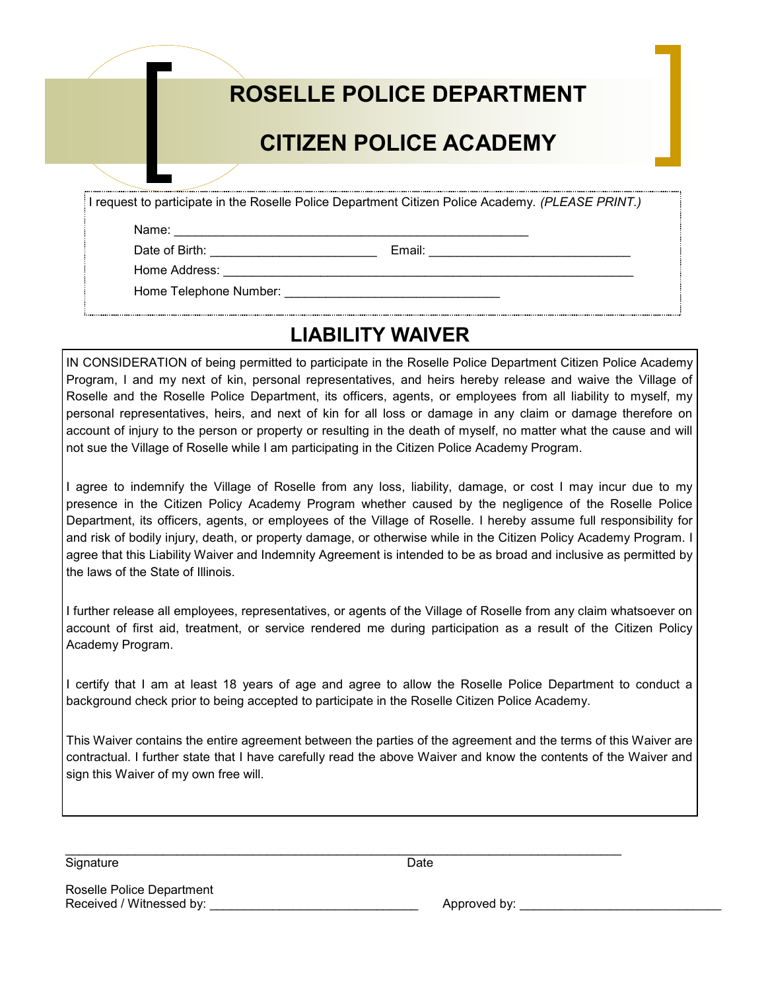|                                 | ROSELLE POLICE DEPARTMENT                                                                         |
|---------------------------------|---------------------------------------------------------------------------------------------------|
|                                 | <b>CITIZEN POLICE ACADEMY</b>                                                                     |
|                                 |                                                                                                   |
|                                 | I request to participate in the Roselle Police Department Citizen Police Academy. (PLEASE PRINT.) |
| Name:                           |                                                                                                   |
| Date of Birth: <u>contained</u> | Email:                                                                                            |
| Home Address:                   |                                                                                                   |
| Home Telephone Number:          |                                                                                                   |
|                                 |                                                                                                   |

## **LIABILITY WAIVER**

IN CONSIDERATION of being permitted to participate in the Roselle Police Department Citizen Police Academy Program, I and my next of kin, personal representatives, and heirs hereby release and waive the Village of Roselle and the Roselle Police Department, its officers, agents, or employees from all liability to myself, my personal representatives, heirs, and next of kin for all loss or damage in any claim or damage therefore on account of injury to the person or property or resulting in the death of myself, no matter what the cause and will not sue the Village of Roselle while I am participating in the Citizen Police Academy Program.

I agree to indemnify the Village of Roselle from any loss, liability, damage, or cost I may incur due to my presence in the Citizen Policy Academy Program whether caused by the negligence of the Roselle Police Department, its officers, agents, or employees of the Village of Roselle. I hereby assume full responsibility for and risk of bodily injury, death, or property damage, or otherwise while in the Citizen Policy Academy Program. I agree that this Liability Waiver and Indemnity Agreement is intended to be as broad and inclusive as permitted by the laws of the State of Illinois.

I further release all employees, representatives, or agents of the Village of Roselle from any claim whatsoever on account of first aid, treatment, or service rendered me during participation as a result of the Citizen Policy Academy Program.

I certify that I am at least 18 years of age and agree to allow the Roselle Police Department to conduct a background check prior to being accepted to participate in the Roselle Citizen Police Academy.

This Waiver contains the entire agreement between the parties of the agreement and the terms of this Waiver are contractual. I further state that I have carefully read the above Waiver and know the contents of the Waiver and sign this Waiver of my own free will.

Signature Date

 $\mathcal{L}_\mathcal{L} = \mathcal{L}_\mathcal{L} = \mathcal{L}_\mathcal{L} = \mathcal{L}_\mathcal{L} = \mathcal{L}_\mathcal{L} = \mathcal{L}_\mathcal{L} = \mathcal{L}_\mathcal{L} = \mathcal{L}_\mathcal{L} = \mathcal{L}_\mathcal{L} = \mathcal{L}_\mathcal{L} = \mathcal{L}_\mathcal{L} = \mathcal{L}_\mathcal{L} = \mathcal{L}_\mathcal{L} = \mathcal{L}_\mathcal{L} = \mathcal{L}_\mathcal{L} = \mathcal{L}_\mathcal{L} = \mathcal{L}_\mathcal{L}$ 

Roselle Police Department

 $Appproved$  by:  $\Box$